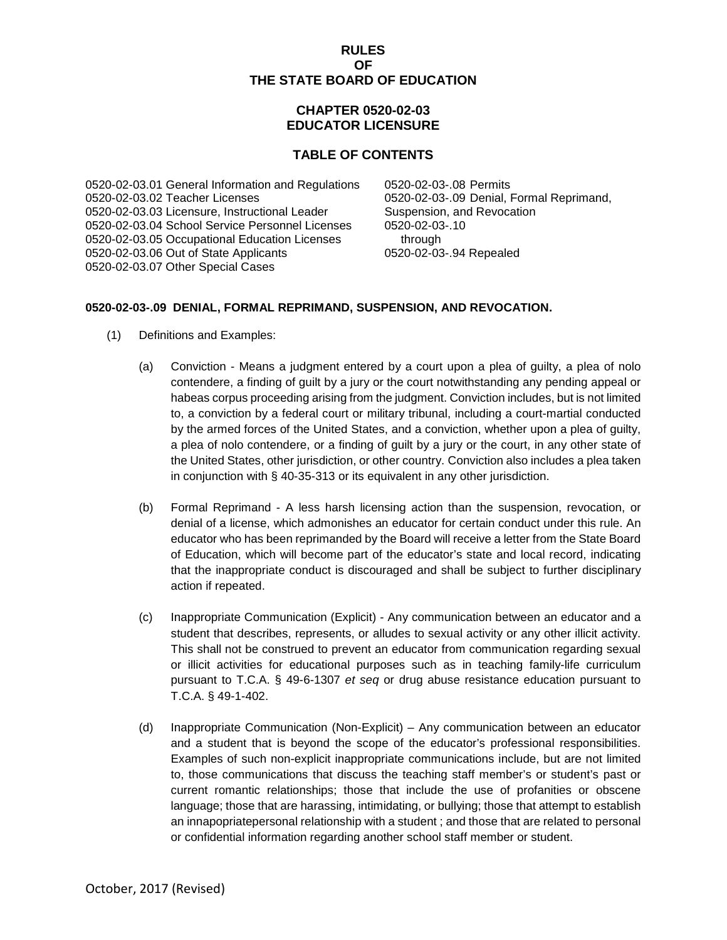### **RULES OF THE STATE BOARD OF EDUCATION**

# **CHAPTER 0520-02-03 EDUCATOR LICENSURE**

# **TABLE OF CONTENTS**

0520-02-03.01 General Information and Regulations 0520-02-03-.08 Permits 0520-02-03.03 Licensure, Instructional Leader Suspension, and Revocation 0520-02-03.04 School Service Personnel Licenses 0520-02-03-.10 0520-02-03.05 Occupational Education Licenses 0520-02-03.06 Out of State Applicants 0520-02-03-.94 Repealed 0520-02-03.07 Other Special Cases

0520-02-03-.09 Denial, Formal Reprimand,

## **0520-02-03-.09 DENIAL, FORMAL REPRIMAND, SUSPENSION, AND REVOCATION.**

- (1) Definitions and Examples:
	- (a) Conviction Means a judgment entered by a court upon a plea of guilty, a plea of nolo contendere, a finding of guilt by a jury or the court notwithstanding any pending appeal or habeas corpus proceeding arising from the judgment. Conviction includes, but is not limited to, a conviction by a federal court or military tribunal, including a court-martial conducted by the armed forces of the United States, and a conviction, whether upon a plea of guilty, a plea of nolo contendere, or a finding of guilt by a jury or the court, in any other state of the United States, other jurisdiction, or other country. Conviction also includes a plea taken in conjunction with § 40-35-313 or its equivalent in any other jurisdiction.
	- (b) Formal Reprimand A less harsh licensing action than the suspension, revocation, or denial of a license, which admonishes an educator for certain conduct under this rule. An educator who has been reprimanded by the Board will receive a letter from the State Board of Education, which will become part of the educator's state and local record, indicating that the inappropriate conduct is discouraged and shall be subject to further disciplinary action if repeated.
	- (c) Inappropriate Communication (Explicit) Any communication between an educator and a student that describes, represents, or alludes to sexual activity or any other illicit activity. This shall not be construed to prevent an educator from communication regarding sexual or illicit activities for educational purposes such as in teaching family-life curriculum pursuant to T.C.A. § 49-6-1307 *et seq* or drug abuse resistance education pursuant to T.C.A. § 49-1-402.
	- (d) Inappropriate Communication (Non-Explicit) Any communication between an educator and a student that is beyond the scope of the educator's professional responsibilities. Examples of such non-explicit inappropriate communications include, but are not limited to, those communications that discuss the teaching staff member's or student's past or current romantic relationships; those that include the use of profanities or obscene language; those that are harassing, intimidating, or bullying; those that attempt to establish an innapopriatepersonal relationship with a student ; and those that are related to personal or confidential information regarding another school staff member or student.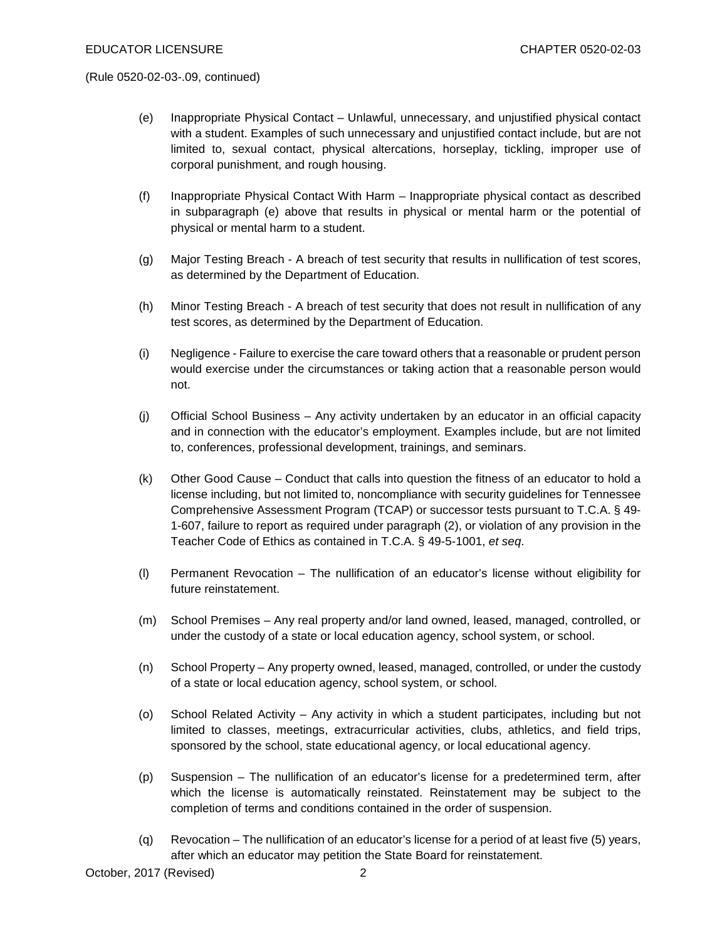- (e) Inappropriate Physical Contact Unlawful, unnecessary, and unjustified physical contact with a student. Examples of such unnecessary and unjustified contact include, but are not limited to, sexual contact, physical altercations, horseplay, tickling, improper use of corporal punishment, and rough housing.
- (f) Inappropriate Physical Contact With Harm Inappropriate physical contact as described in subparagraph (e) above that results in physical or mental harm or the potential of physical or mental harm to a student.
- (g) Major Testing Breach A breach of test security that results in nullification of test scores, as determined by the Department of Education.
- (h) Minor Testing Breach A breach of test security that does not result in nullification of any test scores, as determined by the Department of Education.
- (i) Negligence Failure to exercise the care toward others that a reasonable or prudent person would exercise under the circumstances or taking action that a reasonable person would not.
- (j) Official School Business Any activity undertaken by an educator in an official capacity and in connection with the educator's employment. Examples include, but are not limited to, conferences, professional development, trainings, and seminars.
- (k) Other Good Cause Conduct that calls into question the fitness of an educator to hold a license including, but not limited to, noncompliance with security guidelines for Tennessee Comprehensive Assessment Program (TCAP) or successor tests pursuant to T.C.A. § 49- 1-607, failure to report as required under paragraph (2), or violation of any provision in the Teacher Code of Ethics as contained in T.C.A. § 49-5-1001, *et seq*.
- (l) Permanent Revocation The nullification of an educator's license without eligibility for future reinstatement.
- (m) School Premises Any real property and/or land owned, leased, managed, controlled, or under the custody of a state or local education agency, school system, or school.
- (n) School Property Any property owned, leased, managed, controlled, or under the custody of a state or local education agency, school system, or school.
- (o) School Related Activity Any activity in which a student participates, including but not limited to classes, meetings, extracurricular activities, clubs, athletics, and field trips, sponsored by the school, state educational agency, or local educational agency.
- (p) Suspension The nullification of an educator's license for a predetermined term, after which the license is automatically reinstated. Reinstatement may be subject to the completion of terms and conditions contained in the order of suspension.
- (q) Revocation The nullification of an educator's license for a period of at least five (5) years, after which an educator may petition the State Board for reinstatement.

October, 2017 (Revised) 2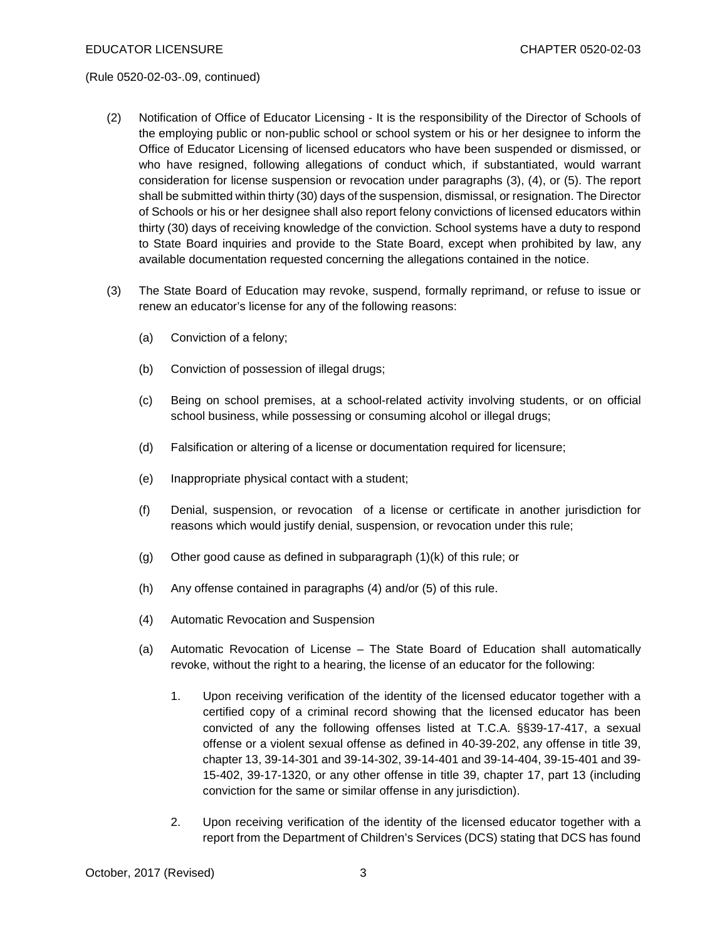- (2) Notification of Office of Educator Licensing It is the responsibility of the Director of Schools of the employing public or non-public school or school system or his or her designee to inform the Office of Educator Licensing of licensed educators who have been suspended or dismissed, or who have resigned, following allegations of conduct which, if substantiated, would warrant consideration for license suspension or revocation under paragraphs (3), (4), or (5). The report shall be submitted within thirty (30) days of the suspension, dismissal, or resignation. The Director of Schools or his or her designee shall also report felony convictions of licensed educators within thirty (30) days of receiving knowledge of the conviction. School systems have a duty to respond to State Board inquiries and provide to the State Board, except when prohibited by law, any available documentation requested concerning the allegations contained in the notice.
- (3) The State Board of Education may revoke, suspend, formally reprimand, or refuse to issue or renew an educator's license for any of the following reasons:
	- (a) Conviction of a felony;
	- (b) Conviction of possession of illegal drugs;
	- (c) Being on school premises, at a school-related activity involving students, or on official school business, while possessing or consuming alcohol or illegal drugs;
	- (d) Falsification or altering of a license or documentation required for licensure;
	- (e) Inappropriate physical contact with a student;
	- (f) Denial, suspension, or revocation of a license or certificate in another jurisdiction for reasons which would justify denial, suspension, or revocation under this rule;
	- (g) Other good cause as defined in subparagraph  $(1)(k)$  of this rule; or
	- (h) Any offense contained in paragraphs (4) and/or (5) of this rule.
	- (4) Automatic Revocation and Suspension
	- (a) Automatic Revocation of License The State Board of Education shall automatically revoke, without the right to a hearing, the license of an educator for the following:
		- 1. Upon receiving verification of the identity of the licensed educator together with a certified copy of a criminal record showing that the licensed educator has been convicted of any the following offenses listed at T.C.A. §§39-17-417, a sexual offense or a violent sexual offense as defined in 40-39-202, any offense in title 39, chapter 13, 39-14-301 and 39-14-302, 39-14-401 and 39-14-404, 39-15-401 and 39- 15-402, 39-17-1320, or any other offense in title 39, chapter 17, part 13 (including conviction for the same or similar offense in any jurisdiction).
		- 2. Upon receiving verification of the identity of the licensed educator together with a report from the Department of Children's Services (DCS) stating that DCS has found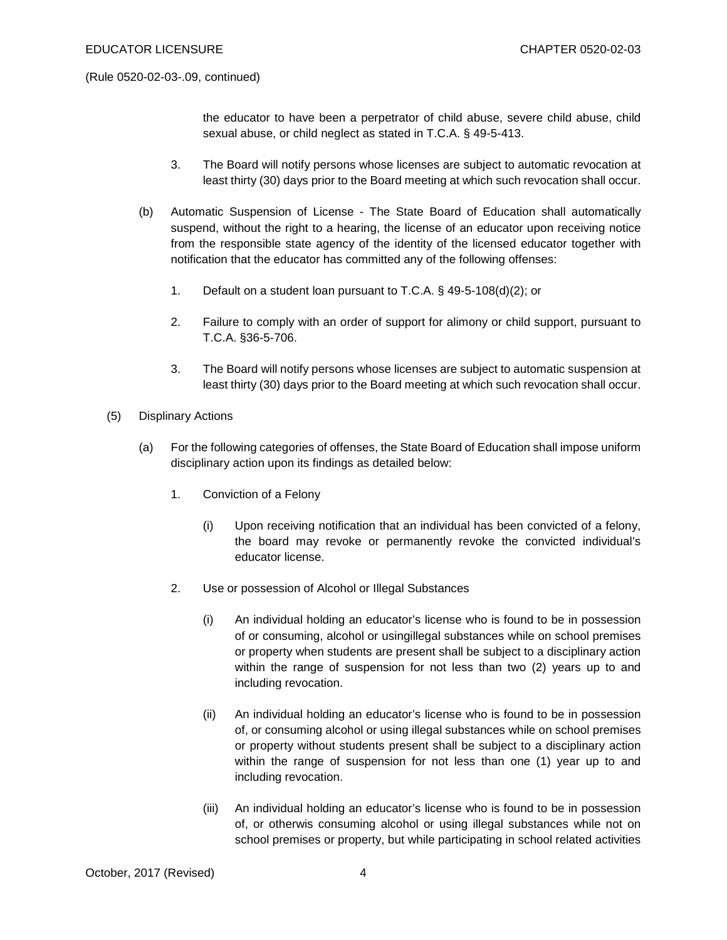the educator to have been a perpetrator of child abuse, severe child abuse, child sexual abuse, or child neglect as stated in T.C.A. § 49-5-413.

- 3. The Board will notify persons whose licenses are subject to automatic revocation at least thirty (30) days prior to the Board meeting at which such revocation shall occur.
- (b) Automatic Suspension of License The State Board of Education shall automatically suspend, without the right to a hearing, the license of an educator upon receiving notice from the responsible state agency of the identity of the licensed educator together with notification that the educator has committed any of the following offenses:
	- 1. Default on a student loan pursuant to T.C.A. § 49-5-108(d)(2); or
	- 2. Failure to comply with an order of support for alimony or child support, pursuant to T.C.A. §36-5-706.
	- 3. The Board will notify persons whose licenses are subject to automatic suspension at least thirty (30) days prior to the Board meeting at which such revocation shall occur.
- (5) Displinary Actions
	- (a) For the following categories of offenses, the State Board of Education shall impose uniform disciplinary action upon its findings as detailed below:
		- 1. Conviction of a Felony
			- (i) Upon receiving notification that an individual has been convicted of a felony, the board may revoke or permanently revoke the convicted individual's educator license.
		- 2. Use or possession of Alcohol or Illegal Substances
			- (i) An individual holding an educator's license who is found to be in possession of or consuming, alcohol or usingillegal substances while on school premises or property when students are present shall be subject to a disciplinary action within the range of suspension for not less than two (2) years up to and including revocation.
			- (ii) An individual holding an educator's license who is found to be in possession of, or consuming alcohol or using illegal substances while on school premises or property without students present shall be subject to a disciplinary action within the range of suspension for not less than one (1) year up to and including revocation.
			- (iii) An individual holding an educator's license who is found to be in possession of, or otherwis consuming alcohol or using illegal substances while not on school premises or property, but while participating in school related activities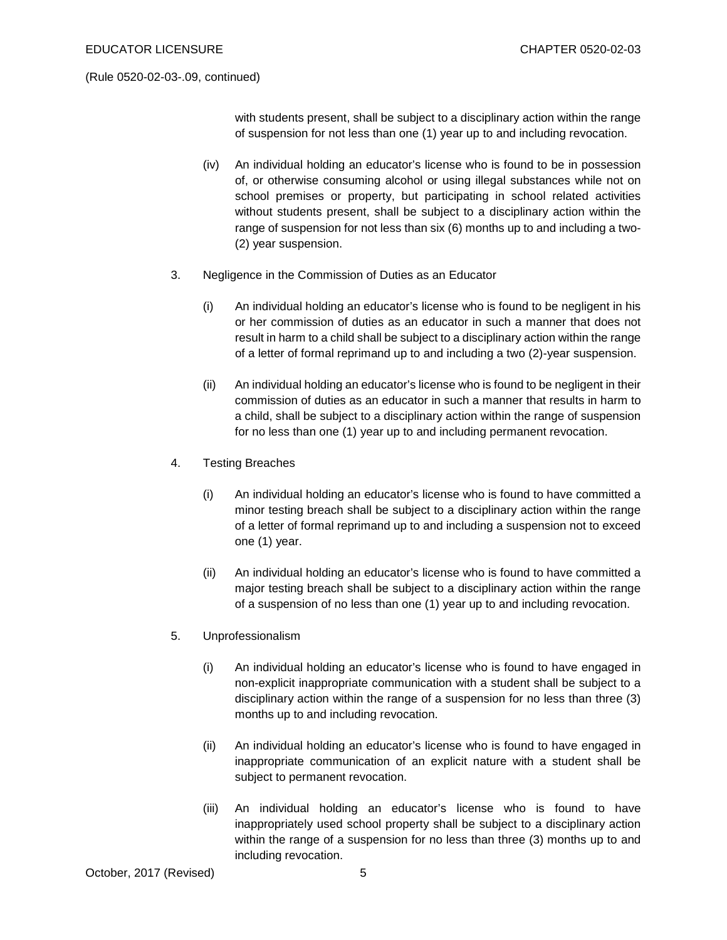with students present, shall be subject to a disciplinary action within the range of suspension for not less than one (1) year up to and including revocation.

- (iv) An individual holding an educator's license who is found to be in possession of, or otherwise consuming alcohol or using illegal substances while not on school premises or property, but participating in school related activities without students present, shall be subject to a disciplinary action within the range of suspension for not less than six (6) months up to and including a two- (2) year suspension.
- 3. Negligence in the Commission of Duties as an Educator
	- (i) An individual holding an educator's license who is found to be negligent in his or her commission of duties as an educator in such a manner that does not result in harm to a child shall be subject to a disciplinary action within the range of a letter of formal reprimand up to and including a two (2)-year suspension.
	- (ii) An individual holding an educator's license who is found to be negligent in their commission of duties as an educator in such a manner that results in harm to a child, shall be subject to a disciplinary action within the range of suspension for no less than one (1) year up to and including permanent revocation.
- 4. Testing Breaches
	- (i) An individual holding an educator's license who is found to have committed a minor testing breach shall be subject to a disciplinary action within the range of a letter of formal reprimand up to and including a suspension not to exceed one (1) year.
	- (ii) An individual holding an educator's license who is found to have committed a major testing breach shall be subject to a disciplinary action within the range of a suspension of no less than one (1) year up to and including revocation.
- 5. Unprofessionalism
	- (i) An individual holding an educator's license who is found to have engaged in non-explicit inappropriate communication with a student shall be subject to a disciplinary action within the range of a suspension for no less than three (3) months up to and including revocation.
	- (ii) An individual holding an educator's license who is found to have engaged in inappropriate communication of an explicit nature with a student shall be subject to permanent revocation.
	- (iii) An individual holding an educator's license who is found to have inappropriately used school property shall be subject to a disciplinary action within the range of a suspension for no less than three (3) months up to and including revocation.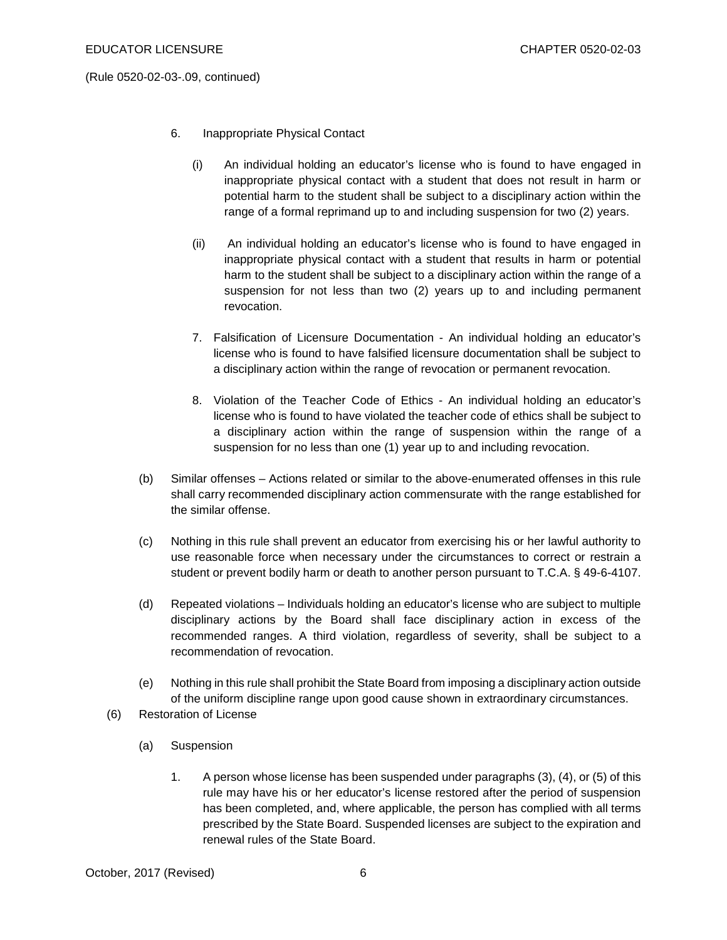- 6. Inappropriate Physical Contact
	- (i) An individual holding an educator's license who is found to have engaged in inappropriate physical contact with a student that does not result in harm or potential harm to the student shall be subject to a disciplinary action within the range of a formal reprimand up to and including suspension for two (2) years.
	- (ii) An individual holding an educator's license who is found to have engaged in inappropriate physical contact with a student that results in harm or potential harm to the student shall be subject to a disciplinary action within the range of a suspension for not less than two (2) years up to and including permanent revocation.
	- 7. Falsification of Licensure Documentation An individual holding an educator's license who is found to have falsified licensure documentation shall be subject to a disciplinary action within the range of revocation or permanent revocation.
	- 8. Violation of the Teacher Code of Ethics An individual holding an educator's license who is found to have violated the teacher code of ethics shall be subject to a disciplinary action within the range of suspension within the range of a suspension for no less than one (1) year up to and including revocation.
- (b) Similar offenses Actions related or similar to the above-enumerated offenses in this rule shall carry recommended disciplinary action commensurate with the range established for the similar offense.
- (c) Nothing in this rule shall prevent an educator from exercising his or her lawful authority to use reasonable force when necessary under the circumstances to correct or restrain a student or prevent bodily harm or death to another person pursuant to T.C.A. § 49-6-4107.
- (d) Repeated violations Individuals holding an educator's license who are subject to multiple disciplinary actions by the Board shall face disciplinary action in excess of the recommended ranges. A third violation, regardless of severity, shall be subject to a recommendation of revocation.
- (e) Nothing in this rule shall prohibit the State Board from imposing a disciplinary action outside of the uniform discipline range upon good cause shown in extraordinary circumstances.
- (6) Restoration of License
	- (a) Suspension
		- 1. A person whose license has been suspended under paragraphs (3), (4), or (5) of this rule may have his or her educator's license restored after the period of suspension has been completed, and, where applicable, the person has complied with all terms prescribed by the State Board. Suspended licenses are subject to the expiration and renewal rules of the State Board.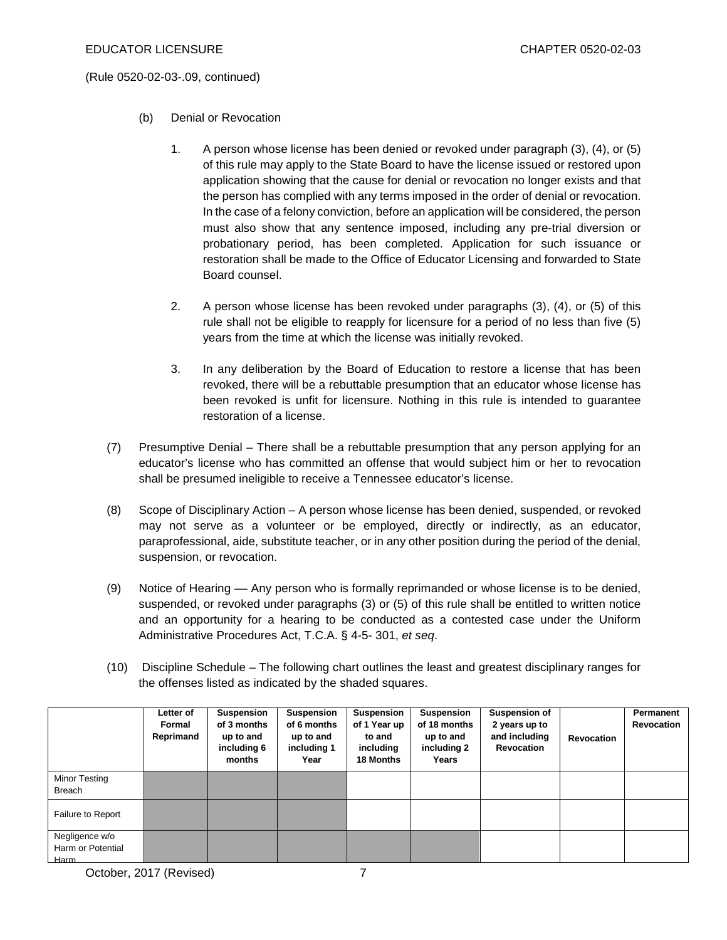- (b) Denial or Revocation
	- 1. A person whose license has been denied or revoked under paragraph (3), (4), or (5) of this rule may apply to the State Board to have the license issued or restored upon application showing that the cause for denial or revocation no longer exists and that the person has complied with any terms imposed in the order of denial or revocation. In the case of a felony conviction, before an application will be considered, the person must also show that any sentence imposed, including any pre-trial diversion or probationary period, has been completed. Application for such issuance or restoration shall be made to the Office of Educator Licensing and forwarded to State Board counsel.
	- 2. A person whose license has been revoked under paragraphs (3), (4), or (5) of this rule shall not be eligible to reapply for licensure for a period of no less than five (5) years from the time at which the license was initially revoked.
	- 3. In any deliberation by the Board of Education to restore a license that has been revoked, there will be a rebuttable presumption that an educator whose license has been revoked is unfit for licensure. Nothing in this rule is intended to guarantee restoration of a license.
- (7) Presumptive Denial There shall be a rebuttable presumption that any person applying for an educator's license who has committed an offense that would subject him or her to revocation shall be presumed ineligible to receive a Tennessee educator's license.
- (8) Scope of Disciplinary Action A person whose license has been denied, suspended, or revoked may not serve as a volunteer or be employed, directly or indirectly, as an educator, paraprofessional, aide, substitute teacher, or in any other position during the period of the denial, suspension, or revocation.
- (9) Notice of Hearing –– Any person who is formally reprimanded or whose license is to be denied, suspended, or revoked under paragraphs (3) or (5) of this rule shall be entitled to written notice and an opportunity for a hearing to be conducted as a contested case under the Uniform Administrative Procedures Act, T.C.A. § 4-5- 301, *et seq*.
- (10) Discipline Schedule The following chart outlines the least and greatest disciplinary ranges for the offenses listed as indicated by the shaded squares.

|                                             | Letter of<br>Formal<br>Reprimand | <b>Suspension</b><br>of 3 months<br>up to and<br>including 6<br>months | <b>Suspension</b><br>of 6 months<br>up to and<br>including 1<br>Year | Suspension<br>of 1 Year up<br>to and<br>including<br>18 Months | Suspension<br>of 18 months<br>up to and<br>including 2<br>Years | <b>Suspension of</b><br>2 years up to<br>and including<br>Revocation | Revocation | <b>Permanent</b><br><b>Revocation</b> |
|---------------------------------------------|----------------------------------|------------------------------------------------------------------------|----------------------------------------------------------------------|----------------------------------------------------------------|-----------------------------------------------------------------|----------------------------------------------------------------------|------------|---------------------------------------|
| Minor Testing<br><b>Breach</b>              |                                  |                                                                        |                                                                      |                                                                |                                                                 |                                                                      |            |                                       |
| Failure to Report                           |                                  |                                                                        |                                                                      |                                                                |                                                                 |                                                                      |            |                                       |
| Negligence w/o<br>Harm or Potential<br>Harm |                                  |                                                                        |                                                                      |                                                                |                                                                 |                                                                      |            |                                       |

October, 2017 (Revised) 7